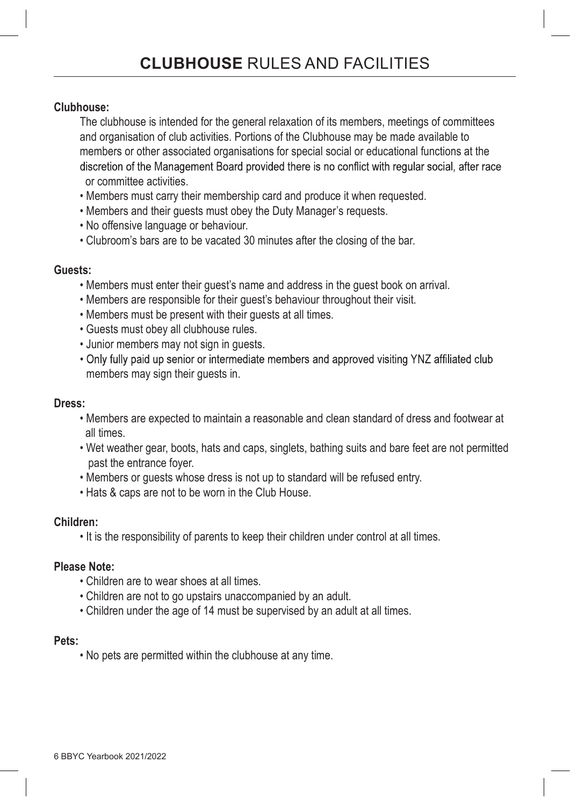### Clubhouse:

The clubhouse is intended for the general relaxation of its members, meetings of committees and organisation of club activities. Portions of the Clubhouse may be made available to members or other associated organisations for special social or educational functions at the discretion of the Management Board provided there is no conflict with regular social, after race or committee activities.

- Members must carry their membership card and produce it when requested.
- Members and their guests must obey the Duty Manager's requests.
- No offensive language or behaviour.
- Clubroom's bars are to be vacated 30 minutes after the closing of the bar.

#### Guests:

- Members must enter their guest's name and address in the guest book on arrival.
- Members are responsible for their guest's behaviour throughout their visit.
- Members must be present with their guests at all times.
- Guests must obey all clubhouse rules.
- Junior members may not sign in guests.
- . Only fully paid up senior or intermediate members and approved visiting YNZ affiliated club members may sign their guests in.

#### Dress:

- Members are expected to maintain a reasonable and clean standard of dress and footwear at all times.
- Wet weather gear, boots, hats and caps, singlets, bathing suits and bare feet are not permitted past the entrance foyer.
- Members or guests whose dress is not up to standard will be refused entry.
- Hats & caps are not to be worn in the Club House.

#### Children:

• It is the responsibility of parents to keep their children under control at all times.

# Please Note:

- Children are to wear shoes at all times.
- Children are not to go upstairs unaccompanied by an adult.
- Children under the age of 14 must be supervised by an adult at all times.

#### Pets:

• No pets are permitted within the clubhouse at any time.